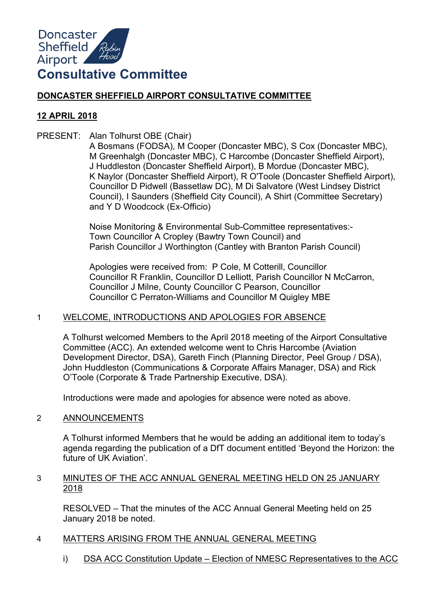

# **DONCASTER SHEFFIELD AIRPORT CONSULTATIVE COMMITTEE**

# **12 APRIL 2018**

PRESENT: Alan Tolhurst OBE (Chair)

A Bosmans (FODSA), M Cooper (Doncaster MBC), S Cox (Doncaster MBC), M Greenhalgh (Doncaster MBC), C Harcombe (Doncaster Sheffield Airport), J Huddleston (Doncaster Sheffield Airport), B Mordue (Doncaster MBC), K Naylor (Doncaster Sheffield Airport), R O'Toole (Doncaster Sheffield Airport), Councillor D Pidwell (Bassetlaw DC), M Di Salvatore (West Lindsey District Council), I Saunders (Sheffield City Council), A Shirt (Committee Secretary) and Y D Woodcock (Ex-Officio)

Noise Monitoring & Environmental Sub-Committee representatives:- Town Councillor A Cropley (Bawtry Town Council) and Parish Councillor J Worthington (Cantley with Branton Parish Council)

Apologies were received from: P Cole, M Cotterill, Councillor Councillor R Franklin, Councillor D Lelliott, Parish Councillor N McCarron, Councillor J Milne, County Councillor C Pearson, Councillor Councillor C Perraton-Williams and Councillor M Quigley MBE

# 1 WELCOME, INTRODUCTIONS AND APOLOGIES FOR ABSENCE

A Tolhurst welcomed Members to the April 2018 meeting of the Airport Consultative Committee (ACC). An extended welcome went to Chris Harcombe (Aviation Development Director, DSA), Gareth Finch (Planning Director, Peel Group / DSA), John Huddleston (Communications & Corporate Affairs Manager, DSA) and Rick O'Toole (Corporate & Trade Partnership Executive, DSA).

Introductions were made and apologies for absence were noted as above.

# 2 ANNOUNCEMENTS

A Tolhurst informed Members that he would be adding an additional item to today's agenda regarding the publication of a DfT document entitled 'Beyond the Horizon: the future of UK Aviation'.

# 3 MINUTES OF THE ACC ANNUAL GENERAL MEETING HELD ON 25 JANUARY 2018

RESOLVED – That the minutes of the ACC Annual General Meeting held on 25 January 2018 be noted.

- 4 MATTERS ARISING FROM THE ANNUAL GENERAL MEETING
	- i) DSA ACC Constitution Update Election of NMESC Representatives to the ACC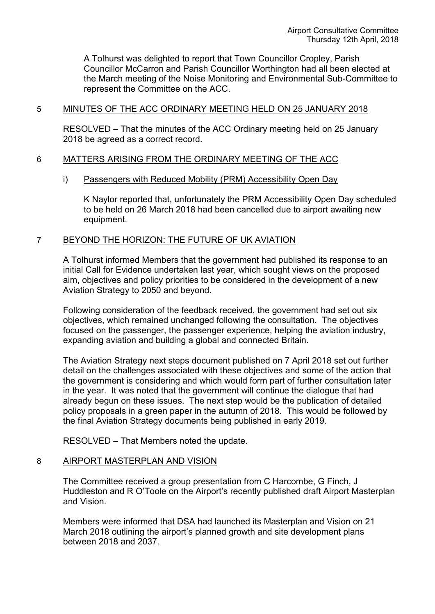A Tolhurst was delighted to report that Town Councillor Cropley, Parish Councillor McCarron and Parish Councillor Worthington had all been elected at the March meeting of the Noise Monitoring and Environmental Sub-Committee to represent the Committee on the ACC.

# 5 MINUTES OF THE ACC ORDINARY MEETING HELD ON 25 JANUARY 2018

RESOLVED – That the minutes of the ACC Ordinary meeting held on 25 January 2018 be agreed as a correct record.

# 6 MATTERS ARISING FROM THE ORDINARY MEETING OF THE ACC

#### i) Passengers with Reduced Mobility (PRM) Accessibility Open Day

K Naylor reported that, unfortunately the PRM Accessibility Open Day scheduled to be held on 26 March 2018 had been cancelled due to airport awaiting new equipment.

#### 7 BEYOND THE HORIZON: THE FUTURE OF UK AVIATION

A Tolhurst informed Members that the government had published its response to an initial Call for Evidence undertaken last year, which sought views on the proposed aim, objectives and policy priorities to be considered in the development of a new Aviation Strategy to 2050 and beyond.

Following consideration of the feedback received, the government had set out six objectives, which remained unchanged following the consultation. The objectives focused on the passenger, the passenger experience, helping the aviation industry, expanding aviation and building a global and connected Britain.

The Aviation Strategy next steps document published on 7 April 2018 set out further detail on the challenges associated with these objectives and some of the action that the government is considering and which would form part of further consultation later in the year. It was noted that the government will continue the dialogue that had already begun on these issues. The next step would be the publication of detailed policy proposals in a green paper in the autumn of 2018. This would be followed by the final Aviation Strategy documents being published in early 2019.

RESOLVED – That Members noted the update.

### 8 AIRPORT MASTERPLAN AND VISION

The Committee received a group presentation from C Harcombe, G Finch, J Huddleston and R O'Toole on the Airport's recently published draft Airport Masterplan and Vision.

Members were informed that DSA had launched its Masterplan and Vision on 21 March 2018 outlining the airport's planned growth and site development plans between 2018 and 2037.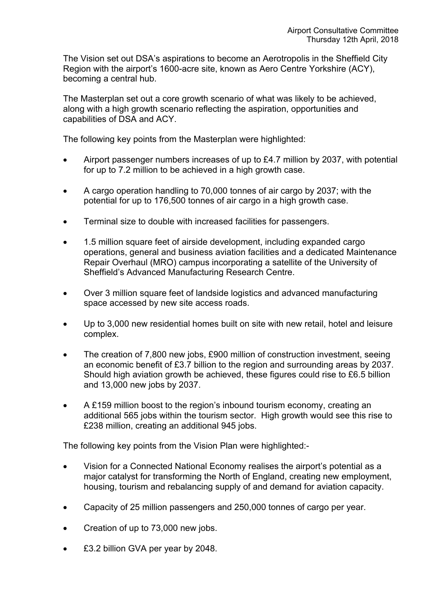The Vision set out DSA's aspirations to become an Aerotropolis in the Sheffield City Region with the airport's 1600-acre site, known as Aero Centre Yorkshire (ACY), becoming a central hub.

The Masterplan set out a core growth scenario of what was likely to be achieved, along with a high growth scenario reflecting the aspiration, opportunities and capabilities of DSA and ACY.

The following key points from the Masterplan were highlighted:

- Airport passenger numbers increases of up to £4.7 million by 2037, with potential for up to 7.2 million to be achieved in a high growth case.
- A cargo operation handling to 70,000 tonnes of air cargo by 2037; with the potential for up to 176,500 tonnes of air cargo in a high growth case.
- Terminal size to double with increased facilities for passengers.
- 1.5 million square feet of airside development, including expanded cargo operations, general and business aviation facilities and a dedicated Maintenance Repair Overhaul (MRO) campus incorporating a satellite of the University of Sheffield's Advanced Manufacturing Research Centre.
- Over 3 million square feet of landside logistics and advanced manufacturing space accessed by new site access roads.
- Up to 3,000 new residential homes built on site with new retail, hotel and leisure complex.
- The creation of 7,800 new jobs, £900 million of construction investment, seeing an economic benefit of £3.7 billion to the region and surrounding areas by 2037. Should high aviation growth be achieved, these figures could rise to £6.5 billion and 13,000 new jobs by 2037.
- A £159 million boost to the region's inbound tourism economy, creating an additional 565 jobs within the tourism sector. High growth would see this rise to £238 million, creating an additional 945 jobs.

The following key points from the Vision Plan were highlighted:-

- Vision for a Connected National Economy realises the airport's potential as a major catalyst for transforming the North of England, creating new employment, housing, tourism and rebalancing supply of and demand for aviation capacity.
- Capacity of 25 million passengers and 250,000 tonnes of cargo per year.
- Creation of up to 73,000 new jobs.
- £3.2 billion GVA per year by 2048.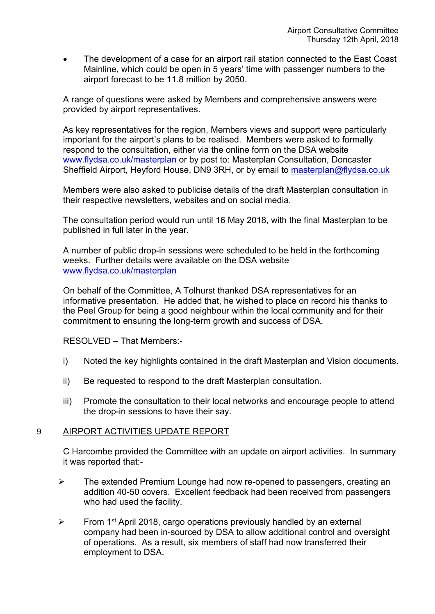The development of a case for an airport rail station connected to the East Coast Mainline, which could be open in 5 years' time with passenger numbers to the airport forecast to be 11.8 million by 2050.

A range of questions were asked by Members and comprehensive answers were provided by airport representatives.

As key representatives for the region, Members views and support were particularly important for the airport's plans to be realised. Members were asked to formally respond to the consultation, either via the online form on the DSA website [www.flydsa.co.uk/masterplan](http://www.flydsa.co.uk/masterplan) or by post to: Masterplan Consultation, Doncaster Sheffield Airport, Heyford House, DN9 3RH, or by email to [masterplan@flydsa.co.uk](mailto:masterplan@flydsa.co.uk)

Members were also asked to publicise details of the draft Masterplan consultation in their respective newsletters, websites and on social media.

The consultation period would run until 16 May 2018, with the final Masterplan to be published in full later in the year.

A number of public drop-in sessions were scheduled to be held in the forthcoming weeks. Further details were available on the DSA website [www.flydsa.co.uk/masterplan](http://www.flydsa.co.uk/masterplan)

On behalf of the Committee, A Tolhurst thanked DSA representatives for an informative presentation. He added that, he wished to place on record his thanks to the Peel Group for being a good neighbour within the local community and for their commitment to ensuring the long-term growth and success of DSA.

RESOLVED – That Members:-

- i) Noted the key highlights contained in the draft Masterplan and Vision documents.
- ii) Be requested to respond to the draft Masterplan consultation.
- iii) Promote the consultation to their local networks and encourage people to attend the drop-in sessions to have their say.

#### 9 AIRPORT ACTIVITIES UPDATE REPORT

C Harcombe provided the Committee with an update on airport activities. In summary it was reported that:-

- $\triangleright$  The extended Premium Lounge had now re-opened to passengers, creating an addition 40-50 covers. Excellent feedback had been received from passengers who had used the facility.
- $\triangleright$  From 1<sup>st</sup> April 2018, cargo operations previously handled by an external company had been in-sourced by DSA to allow additional control and oversight of operations. As a result, six members of staff had now transferred their employment to DSA.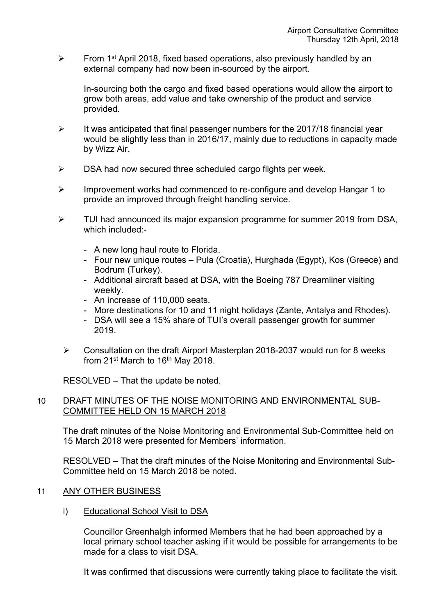From 1<sup>st</sup> April 2018, fixed based operations, also previously handled by an external company had now been in-sourced by the airport.

In-sourcing both the cargo and fixed based operations would allow the airport to grow both areas, add value and take ownership of the product and service provided.

- $\geq$  It was anticipated that final passenger numbers for the 2017/18 financial year would be slightly less than in 2016/17, mainly due to reductions in capacity made by Wizz Air.
- $\triangleright$  DSA had now secured three scheduled cargo flights per week.
- Improvement works had commenced to re-configure and develop Hangar 1 to provide an improved through freight handling service.
- > TUI had announced its major expansion programme for summer 2019 from DSA, which included:-
	- A new long haul route to Florida.
	- Four new unique routes Pula (Croatia), Hurghada (Egypt), Kos (Greece) and Bodrum (Turkey).
	- Additional aircraft based at DSA, with the Boeing 787 Dreamliner visiting weekly.
	- An increase of 110,000 seats.
	- More destinations for 10 and 11 night holidays (Zante, Antalya and Rhodes).
	- DSA will see a 15% share of TUI's overall passenger growth for summer 2019.
	- $\triangleright$  Consultation on the draft Airport Masterplan 2018-2037 would run for 8 weeks from 21st March to 16<sup>th</sup> May 2018.

RESOLVED – That the update be noted.

#### 10 DRAFT MINUTES OF THE NOISE MONITORING AND ENVIRONMENTAL SUB-COMMITTEE HELD ON 15 MARCH 2018

The draft minutes of the Noise Monitoring and Environmental Sub-Committee held on 15 March 2018 were presented for Members' information.

RESOLVED – That the draft minutes of the Noise Monitoring and Environmental Sub-Committee held on 15 March 2018 be noted.

#### 11 ANY OTHER BUSINESS

i) Educational School Visit to DSA

Councillor Greenhalgh informed Members that he had been approached by a local primary school teacher asking if it would be possible for arrangements to be made for a class to visit DSA.

It was confirmed that discussions were currently taking place to facilitate the visit.